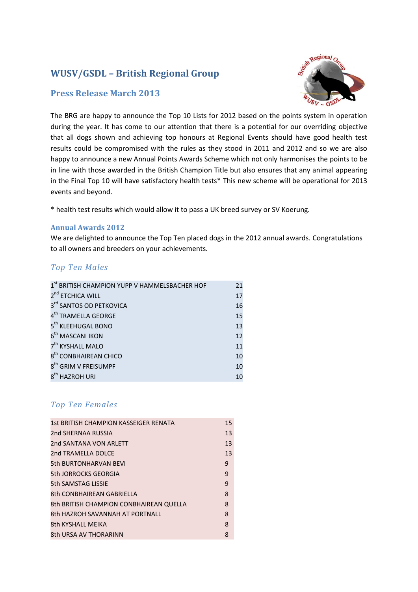# **WUSV/GSDL – British Regional Group**

## **Press Release March 2013**



The BRG are happy to announce the Top 10 Lists for 2012 based on the points system in operation during the year. It has come to our attention that there is a potential for our overriding objective that all dogs shown and achieving top honours at Regional Events should have good health test results could be compromised with the rules as they stood in 2011 and 2012 and so we are also happy to announce a new Annual Points Awards Scheme which not only harmonises the points to be in line with those awarded in the British Champion Title but also ensures that any animal appearing in the Final Top 10 will have satisfactory health tests\* This new scheme will be operational for 2013 events and beyond.

\* health test results which would allow it to pass a UK breed survey or SV Koerung.

#### **Annual Awards 2012**

We are delighted to announce the Top Ten placed dogs in the 2012 annual awards. Congratulations to all owners and breeders on your achievements.

#### *Top Ten Males*

| 1st BRITISH CHAMPION YUPP V HAMMELSBACHER HOF | 21 |
|-----------------------------------------------|----|
| 2 <sup>nd</sup> ETCHICA WILL                  | 17 |
| 3rd SANTOS OD PETKOVICA                       | 16 |
| 4 <sup>th</sup> TRAMELLA GEORGE               | 15 |
| 5 <sup>th</sup> KLEEHUGAL BONO                | 13 |
| 6 <sup>th</sup> MASCANI IKON                  | 12 |
| 7 <sup>th</sup> KYSHALL MALO                  | 11 |
| 8 <sup>th</sup> CONBHAIREAN CHICO             | 10 |
| 8 <sup>th</sup> GRIM V FREISUMPF              | 10 |
| 8 <sup>th</sup> HAZROH URI                    | 10 |

# *Top Ten Females*

| 1st BRITISH CHAMPION KASSEIGER RENATA   | 15 |
|-----------------------------------------|----|
| 2nd SHERNAA RUSSIA                      | 13 |
| 2nd SANTANA VON ARLETT                  | 13 |
| 2nd TRAMELLA DOLCE                      | 13 |
| <b>5th BURTONHARVAN BEVI</b>            | 9  |
| 5th JORROCKS GEORGIA                    | 9  |
| 5th SAMSTAG LISSIE                      | 9  |
| 8th CONBHAIREAN GABRIELLA               | 8  |
| 8th BRITISH CHAMPION CONBHAIREAN QUELLA | 8  |
| 8th HAZROH SAVANNAH AT PORTNALL         | 8  |
| <b>8th KYSHALL MFIKA</b>                | 8  |
| 8th URSA AV THORARINN                   | 8  |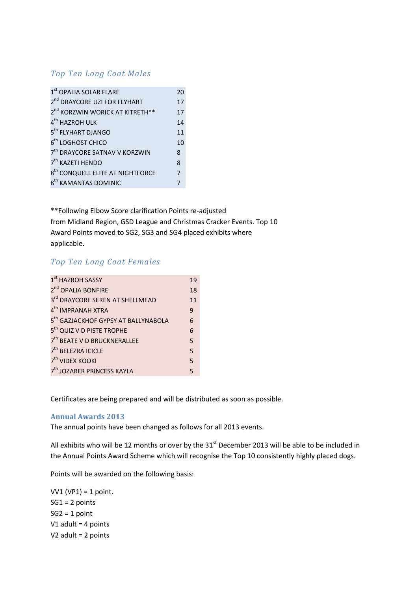## *Top Ten Long Coat Males*

| 1st OPALIA SOLAR FLARE                       | 20 |
|----------------------------------------------|----|
| 2 <sup>nd</sup> DRAYCORE UZI FOR FLYHART     | 17 |
| 2 <sup>nd</sup> KORZWIN WORICK AT KITRETH**  | 17 |
| 4 <sup>th</sup> HAZROH ULK                   | 14 |
| 5 <sup>th</sup> FLYHART DJANGO               | 11 |
| 6 <sup>th</sup> LOGHOST CHICO                | 10 |
| 7 <sup>th</sup> DRAYCORE SATNAV V KORZWIN    | 8  |
| 7 <sup>th</sup> KAZETI HENDO                 | 8  |
| 8 <sup>th</sup> CONQUELL ELITE AT NIGHTFORCE | 7  |
| 8 <sup>th</sup> KAMANTAS DOMINIC             |    |

\*\*Following Elbow Score clarification Points re-adjusted from Midland Region, GSD League and Christmas Cracker Events. Top 10 Award Points moved to SG2, SG3 and SG4 placed exhibits where applicable.

### *Top Ten Long Coat Females*

| 1 <sup>st</sup> HAZROH SASSY                    | 19 |
|-------------------------------------------------|----|
| 2 <sup>nd</sup> OPALIA BONFIRE                  | 18 |
| 3rd DRAYCORE SEREN AT SHELLMEAD                 | 11 |
| 4 <sup>th</sup> IMPRANAH XTRA                   | 9  |
| 5 <sup>th</sup> GAZJACKHOF GYPSY AT BALLYNABOLA | 6  |
| 5 <sup>th</sup> QUIZ V D PISTE TROPHE           | 6  |
| 7 <sup>th</sup> BEATE V D BRUCKNERALLEE         | 5  |
| 7 <sup>th</sup> BELEZRA ICICLE                  | 5  |
| 7 <sup>th</sup> VIDEX KOOKI                     | 5  |
| 7 <sup>th</sup> JOZARER PRINCESS KAYLA          | 5  |

Certificates are being prepared and will be distributed as soon as possible.

#### **Annual Awards 2013**

The annual points have been changed as follows for all 2013 events.

All exhibits who will be 12 months or over by the 31<sup>st</sup> December 2013 will be able to be included in the Annual Points Award Scheme which will recognise the Top 10 consistently highly placed dogs.

Points will be awarded on the following basis:

VV1 (VP1) = 1 point. SG1 = 2 points  $SG2 = 1$  point V1 adult = 4 points V2 adult = 2 points